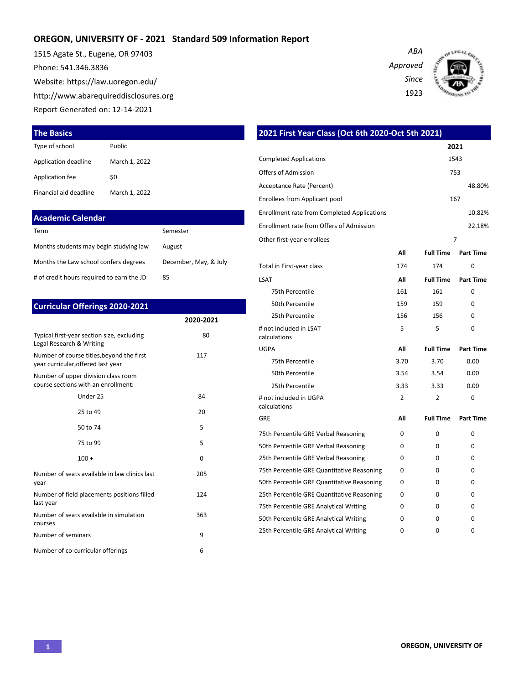### **OREGON, UNIVERSITY OF - 2021 Standard 509 Information Report**

1515 Agate St., Eugene, OR 97403 Phone: 541.346.3836 Website: https://law.uoregon.edu/ http://www.abarequireddisclosures.org Report Generated on: 12-14-2021





**The Basics**

| Type of school         | Public        |
|------------------------|---------------|
| Application deadline   | March 1, 2022 |
| Application fee        | \$0           |
| Financial aid deadline | March 1, 2022 |

| <b>Academic Calendar</b> |  |  |
|--------------------------|--|--|
|                          |  |  |

| Term                                      | Semester              |
|-------------------------------------------|-----------------------|
| Months students may begin studying law    | August                |
| Months the Law school confers degrees     | December, May, & July |
| # of credit hours required to earn the JD | 85                    |

#### **Curricular Offerings 2020-2021**

|                                                                                 | 2020-2021 |
|---------------------------------------------------------------------------------|-----------|
| Typical first-year section size, excluding<br>Legal Research & Writing          | 80        |
| Number of course titles, beyond the first<br>year curricular, offered last year | 117       |
| Number of upper division class room<br>course sections with an enrollment:      |           |
| Under 25                                                                        | 84        |
| 25 to 49                                                                        | 20        |
| 50 to 74                                                                        | 5         |
| 75 to 99                                                                        | 5         |
| $100 +$                                                                         | 0         |
| Number of seats available in law clinics last<br>year                           | 205       |
| Number of field placements positions filled<br>last year                        | 124       |
| Number of seats available in simulation<br>courses                              | 363       |
| Number of seminars                                                              | 9         |
| Number of co-curricular offerings                                               | 6         |

| 2021 First Year Class (Oct 6th 2020-Oct 5th 2021)  |                |                  |                  |
|----------------------------------------------------|----------------|------------------|------------------|
|                                                    |                |                  | 2021             |
| <b>Completed Applications</b>                      |                |                  | 1543             |
| Offers of Admission                                |                |                  | 753              |
| Acceptance Rate (Percent)                          |                |                  | 48.80%           |
| <b>Enrollees from Applicant pool</b>               |                |                  | 167              |
| <b>Enrollment rate from Completed Applications</b> |                |                  | 10.82%           |
| <b>Enrollment rate from Offers of Admission</b>    |                |                  | 22.18%           |
| Other first-year enrollees                         |                |                  | $\overline{7}$   |
|                                                    | All            | <b>Full Time</b> | <b>Part Time</b> |
| Total in First-year class                          | 174            | 174              | 0                |
| LSAT                                               | All            | <b>Full Time</b> | <b>Part Time</b> |
| 75th Percentile                                    | 161            | 161              | 0                |
| 50th Percentile                                    | 159            | 159              | 0                |
| 25th Percentile                                    | 156            | 156              | 0                |
| # not included in LSAT<br>calculations             | 5              | 5                | 0                |
| UGPA                                               | ΛIΙ            | <b>Full Time</b> | <b>Part Time</b> |
| 75th Percentile                                    | 3.70           | 3.70             | 0.00             |
| 50th Percentile                                    | 3.54           | 3.54             | 0.00             |
| 25th Percentile                                    | 3.33           | 3.33             | 0.00             |
| # not included in UGPA<br>calculations             | $\overline{2}$ | 2                | 0                |
| GRE                                                | All            | <b>Full Time</b> | <b>Part Time</b> |
| 75th Percentile GRE Verbal Reasoning               | 0              | $\Omega$         | 0                |
| 50th Percentile GRE Verbal Reasoning               | 0              | 0                | 0                |
| 25th Percentile GRE Verbal Reasoning               | 0              | 0                | 0                |
| 75th Percentile GRE Quantitative Reasoning         | 0              | 0                | 0                |
| 50th Percentile GRE Quantitative Reasoning         | 0              | 0                | 0                |
| 25th Percentile GRE Quantitative Reasoning         | 0              | 0                | 0                |
| 75th Percentile GRE Analytical Writing             | 0              | 0                | 0                |
| 50th Percentile GRE Analytical Writing             | 0              | 0                | 0                |
| 25th Percentile GRE Analytical Writing             | 0              | 0                | 0                |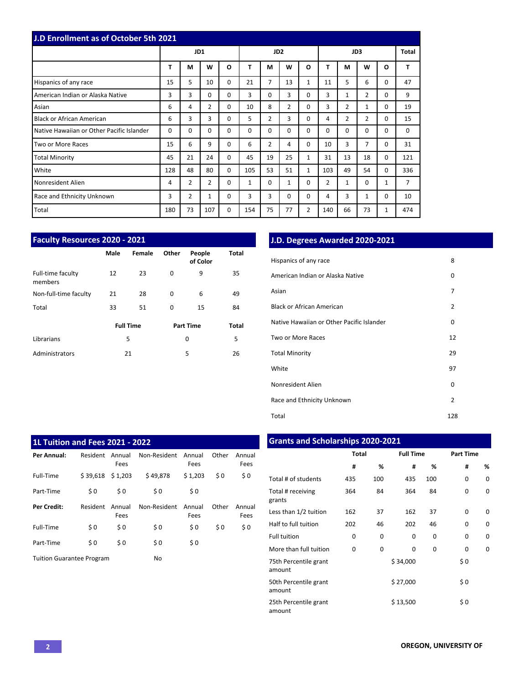| J.D Enrollment as of October 5th 2021     |          |                |                |              |                 |                |                |                |                |          |                |          |     |
|-------------------------------------------|----------|----------------|----------------|--------------|-----------------|----------------|----------------|----------------|----------------|----------|----------------|----------|-----|
|                                           |          | JD1            |                |              | JD <sub>2</sub> |                |                | JD3            |                |          | Total          |          |     |
|                                           | T        | M              | W              | $\mathbf{o}$ | T               | M              | W              | O              | T              | М        | W              | O        | T   |
| Hispanics of any race                     | 15       | 5              | 10             | $\Omega$     | 21              | 7              | 13             | $\mathbf{1}$   | 11             | 5        | 6              | 0        | 47  |
| American Indian or Alaska Native          | 3        | 3              | 0              | $\Omega$     | 3               | $\Omega$       | 3              | 0              | 3              | 1        | 2              | 0        | 9   |
| Asian                                     | 6        | 4              | $\overline{2}$ | $\Omega$     | 10              | 8              | $\overline{2}$ | 0              | 3              | 2        | 1              | 0        | 19  |
| <b>Black or African American</b>          | 6        | 3              | 3              | $\Omega$     | 5               | $\overline{2}$ | 3              | 0              | 4              | 2        | $\overline{2}$ | 0        | 15  |
| Native Hawaiian or Other Pacific Islander | $\Omega$ | 0              | $\Omega$       | $\Omega$     | $\Omega$        | $\Omega$       | $\Omega$       | 0              | $\Omega$       | $\Omega$ | $\mathbf 0$    | 0        | 0   |
| Two or More Races                         | 15       | 6              | 9              | $\Omega$     | 6               | $\overline{2}$ | 4              | 0              | 10             | 3        | 7              | 0        | 31  |
| <b>Total Minority</b>                     | 45       | 21             | 24             | $\Omega$     | 45              | 19             | 25             | $\mathbf{1}$   | 31             | 13       | 18             | $\Omega$ | 121 |
| White                                     | 128      | 48             | 80             | $\Omega$     | 105             | 53             | 51             | $\mathbf{1}$   | 103            | 49       | 54             | 0        | 336 |
| Nonresident Alien                         | 4        | $\overline{2}$ | $\overline{2}$ | $\Omega$     | 1               | $\Omega$       | $\mathbf{1}$   | $\Omega$       | $\overline{2}$ | 1        | $\mathbf 0$    | 1        | 7   |
| Race and Ethnicity Unknown                | 3        | 2              | $\mathbf{1}$   | 0            | 3               | 3              | $\Omega$       | 0              | 4              | 3        | 1              | 0        | 10  |
| Total                                     | 180      | 73             | 107            | 0            | 154             | 75             | 77             | $\overline{2}$ | 140            | 66       | 73             | 1        | 474 |

| <b>Faculty Resources 2020 - 2021</b> |      |                  |          |                    |              |  |  |
|--------------------------------------|------|------------------|----------|--------------------|--------------|--|--|
|                                      | Male | Female           | Other    | People<br>of Color | <b>Total</b> |  |  |
| Full-time faculty<br>members         | 12   | 23               | $\Omega$ | 9                  | 35           |  |  |
| Non-full-time faculty                | 21   | 28               | $\Omega$ | 6                  | 49           |  |  |
| Total                                | 33   | 51               | $\Omega$ | 15                 | 84           |  |  |
|                                      |      | <b>Full Time</b> |          | <b>Part Time</b>   | Total        |  |  |
| Librarians                           | 5    |                  | 0        |                    | 5            |  |  |
| Administrators                       | 21   |                  |          | 5                  | 26           |  |  |

# **J.D. Degrees Awarded 2020-2021**

| Hispanics of any race                     | 8              |  |
|-------------------------------------------|----------------|--|
| American Indian or Alaska Native          | 0              |  |
| Asian                                     | 7              |  |
| Black or African American                 | $\overline{2}$ |  |
| Native Hawaiian or Other Pacific Islander | 0              |  |
| Two or More Races                         | 12             |  |
| <b>Total Minority</b>                     | 29             |  |
| White                                     | 97             |  |
| Nonresident Alien                         | 0              |  |
| Race and Ethnicity Unknown                | $\overline{2}$ |  |
| Total                                     | 128            |  |

| <b>1L Tuition and Fees 2021 - 2022</b> |          |                |              |                |       |                |  |  |
|----------------------------------------|----------|----------------|--------------|----------------|-------|----------------|--|--|
| Per Annual:                            | Resident | Annual<br>Fees | Non-Resident | Annual<br>Fees | Other | Annual<br>Fees |  |  |
| Full-Time                              | \$39.618 | \$1,203        | \$49.878     | \$1,203        | \$0   | \$0            |  |  |
| Part-Time                              | \$0      | \$0            | \$0          | \$0            |       |                |  |  |
| Per Credit:                            | Resident | Annual<br>Fees | Non-Resident | Annual<br>Fees | Other | Annual<br>Fees |  |  |
| Full-Time                              | \$0      | \$0            | \$0          | \$0            | \$0   | \$0            |  |  |
| Part-Time                              | \$0      | \$0            | \$0          | \$0            |       |                |  |  |
| <b>Tuition Guarantee Program</b>       |          |                | No           |                |       |                |  |  |

# **Grants and Scholarships 2020-2021**

|                                 | <b>Total</b> |     | <b>Full Time</b> |          | <b>Part Time</b> |   |
|---------------------------------|--------------|-----|------------------|----------|------------------|---|
|                                 | #            | %   | #                | %        | #                | % |
| Total # of students             | 435          | 100 | 435              | 100      | 0                | 0 |
| Total # receiving<br>grants     | 364          | 84  | 364              | 84       | $\Omega$         | 0 |
| Less than 1/2 tuition           | 162          | 37  | 162              | 37       | $\Omega$         | 0 |
| Half to full tuition            | 202          | 46  | 202              | 46       | $\Omega$         | 0 |
| <b>Full tuition</b>             | 0            | 0   | 0                | 0        | 0                | 0 |
| More than full tuition          | $\Omega$     | 0   | 0                | $\Omega$ | 0                | 0 |
| 75th Percentile grant<br>amount |              |     | \$34,000         |          | \$0              |   |
| 50th Percentile grant<br>amount |              |     | \$27,000         |          | \$0              |   |
| 25th Percentile grant<br>amount |              |     | \$13,500         |          | \$0              |   |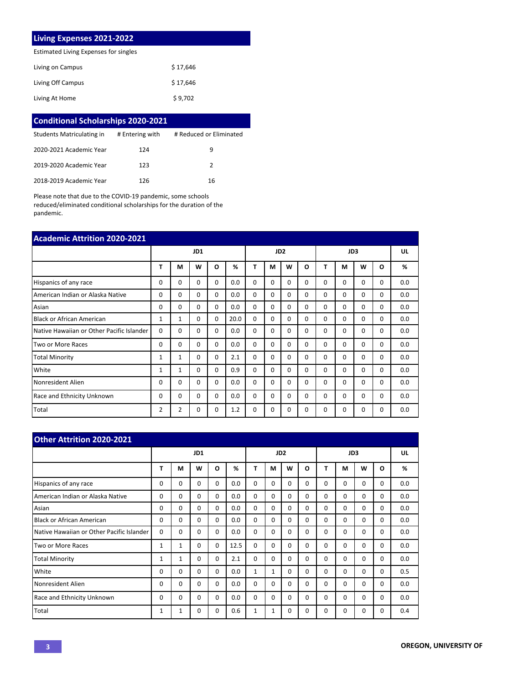#### **Living Expenses 2021-2022**

Estimated Living Expenses for singles

| Living on Campus  | \$17,646 |
|-------------------|----------|
| Living Off Campus | \$17,646 |
| Living At Home    | \$9,702  |

| <b>Conditional Scholarships 2020-2021</b> |                 |                         |  |  |  |  |  |
|-------------------------------------------|-----------------|-------------------------|--|--|--|--|--|
| Students Matriculating in                 | # Entering with | # Reduced or Eliminated |  |  |  |  |  |
| 2020-2021 Academic Year                   | 124             | q                       |  |  |  |  |  |
| 2019-2020 Academic Year                   | 123             | 2                       |  |  |  |  |  |
| 2018-2019 Academic Year                   | 126             | 16                      |  |  |  |  |  |

Please note that due to the COVID-19 pandemic, some schools reduced/eliminated conditional scholarships for the duration of the pandemic.

| <b>Academic Attrition 2020-2021</b>       |              |                |          |          |                 |          |          |          |          |          |          |          |          |     |
|-------------------------------------------|--------------|----------------|----------|----------|-----------------|----------|----------|----------|----------|----------|----------|----------|----------|-----|
|                                           | JD1          |                |          |          | JD <sub>2</sub> |          |          |          | JD3      |          |          |          | UL       |     |
|                                           | T            | M              | W        | O        | %               | T        | М        | W        | O        | т        | M        | W        | O        | %   |
| Hispanics of any race                     | 0            | 0              | 0        | $\Omega$ | 0.0             | $\Omega$ | $\Omega$ | $\Omega$ | $\Omega$ | $\Omega$ | $\Omega$ | 0        | $\Omega$ | 0.0 |
| American Indian or Alaska Native          | 0            | $\Omega$       | $\Omega$ | $\Omega$ | 0.0             | 0        | 0        | $\Omega$ | 0        | $\Omega$ | $\Omega$ | 0        | 0        | 0.0 |
| Asian                                     | $\Omega$     | $\Omega$       | $\Omega$ | $\Omega$ | 0.0             | $\Omega$ | $\Omega$ | $\Omega$ | 0        | $\Omega$ | $\Omega$ | $\Omega$ | 0        | 0.0 |
| <b>Black or African American</b>          | 1            | $\mathbf{1}$   | $\Omega$ | $\Omega$ | 20.0            | $\Omega$ | $\Omega$ | $\Omega$ | 0        | $\Omega$ | $\Omega$ | $\Omega$ | 0        | 0.0 |
| Native Hawaiian or Other Pacific Islander | $\Omega$     | 0              | 0        | $\Omega$ | 0.0             | 0        | 0        | $\Omega$ | 0        | $\Omega$ | 0        | 0        | 0        | 0.0 |
| Two or More Races                         | $\Omega$     | $\Omega$       | $\Omega$ | $\Omega$ | 0.0             | $\Omega$ | 0        | $\Omega$ | 0        | $\Omega$ | $\Omega$ | 0        | 0        | 0.0 |
| <b>Total Minority</b>                     | 1            | $\mathbf{1}$   | $\Omega$ | $\Omega$ | 2.1             | $\Omega$ | 0        | $\Omega$ | $\Omega$ | $\Omega$ | $\Omega$ | $\Omega$ | 0        | 0.0 |
| White                                     | 1            | 1              | 0        | $\Omega$ | 0.9             | 0        | 0        | $\Omega$ | 0        | $\Omega$ | $\Omega$ | 0        | 0        | 0.0 |
| Nonresident Alien                         | 0            | 0              | $\Omega$ | $\Omega$ | 0.0             | $\Omega$ | 0        | $\Omega$ | 0        | $\Omega$ | $\Omega$ | $\Omega$ | 0        | 0.0 |
| Race and Ethnicity Unknown                | <sup>0</sup> | $\Omega$       | $\Omega$ | $\Omega$ | 0.0             | $\Omega$ | 0        | $\Omega$ | 0        | $\Omega$ | $\Omega$ | $\Omega$ | $\Omega$ | 0.0 |
| Total                                     | 2            | $\overline{2}$ | 0        | 0        | 1.2             | $\Omega$ | 0        | $\Omega$ | $\Omega$ | 0        | 0        | 0        | 0        | 0.0 |

| <b>Other Attrition 2020-2021</b>          |     |              |             |             |      |                 |          |             |          |          |          |          |          |     |
|-------------------------------------------|-----|--------------|-------------|-------------|------|-----------------|----------|-------------|----------|----------|----------|----------|----------|-----|
|                                           | JD1 |              |             |             |      | JD <sub>2</sub> |          |             |          | JD3      |          |          |          | UL  |
|                                           | Т   | М            | W           | O           | %    | T               | М        | W           | $\Omega$ | т        | М        | W        | $\Omega$ | %   |
| Hispanics of any race                     | 0   | $\Omega$     | $\Omega$    | $\Omega$    | 0.0  | $\Omega$        | $\Omega$ | $\Omega$    | $\Omega$ | $\Omega$ | $\Omega$ | $\Omega$ | 0        | 0.0 |
| American Indian or Alaska Native          | 0   | $\Omega$     | $\Omega$    | $\Omega$    | 0.0  | $\Omega$        | $\Omega$ | $\Omega$    | $\Omega$ | 0        | $\Omega$ | $\Omega$ | 0        | 0.0 |
| Asian                                     | 0   | 0            | $\Omega$    | $\Omega$    | 0.0  | $\Omega$        | $\Omega$ | $\Omega$    | $\Omega$ | 0        | $\Omega$ | $\Omega$ | $\Omega$ | 0.0 |
| <b>Black or African American</b>          | 0   | 0            | $\Omega$    | $\Omega$    | 0.0  | $\Omega$        | $\Omega$ | 0           | $\Omega$ | 0        | $\Omega$ | $\Omega$ | 0        | 0.0 |
| Native Hawaiian or Other Pacific Islander | 0   | 0            | $\Omega$    | 0           | 0.0  | 0               | $\Omega$ | $\Omega$    | $\Omega$ | 0        | $\Omega$ | $\Omega$ | 0        | 0.0 |
| Two or More Races                         | 1   | 1            | $\Omega$    | $\mathbf 0$ | 12.5 | $\Omega$        | $\Omega$ | $\Omega$    | $\Omega$ | 0        | $\Omega$ | $\Omega$ | 0        | 0.0 |
| <b>Total Minority</b>                     | 1   | $\mathbf{1}$ | $\Omega$    | $\Omega$    | 2.1  | $\Omega$        | $\Omega$ | $\Omega$    | $\Omega$ | 0        | $\Omega$ | $\Omega$ | 0        | 0.0 |
| White                                     | 0   | 0            | $\mathbf 0$ | $\Omega$    | 0.0  | 1               | 1        | $\mathbf 0$ | $\Omega$ | $\Omega$ | $\Omega$ | $\Omega$ | 0        | 0.5 |
| Nonresident Alien                         | 0   | $\Omega$     | $\Omega$    | 0           | 0.0  | $\Omega$        | $\Omega$ | $\Omega$    | $\Omega$ | 0        | $\Omega$ | $\Omega$ | 0        | 0.0 |
| <b>Race and Ethnicity Unknown</b>         | 0   | $\Omega$     | $\Omega$    | 0           | 0.0  | $\Omega$        | $\Omega$ | $\Omega$    | $\Omega$ | 0        | $\Omega$ | $\Omega$ | 0        | 0.0 |
| Total                                     | 1   | 1            | 0           | 0           | 0.6  | 1               | 1        | 0           | $\Omega$ | 0        | $\Omega$ | $\Omega$ | 0        | 0.4 |